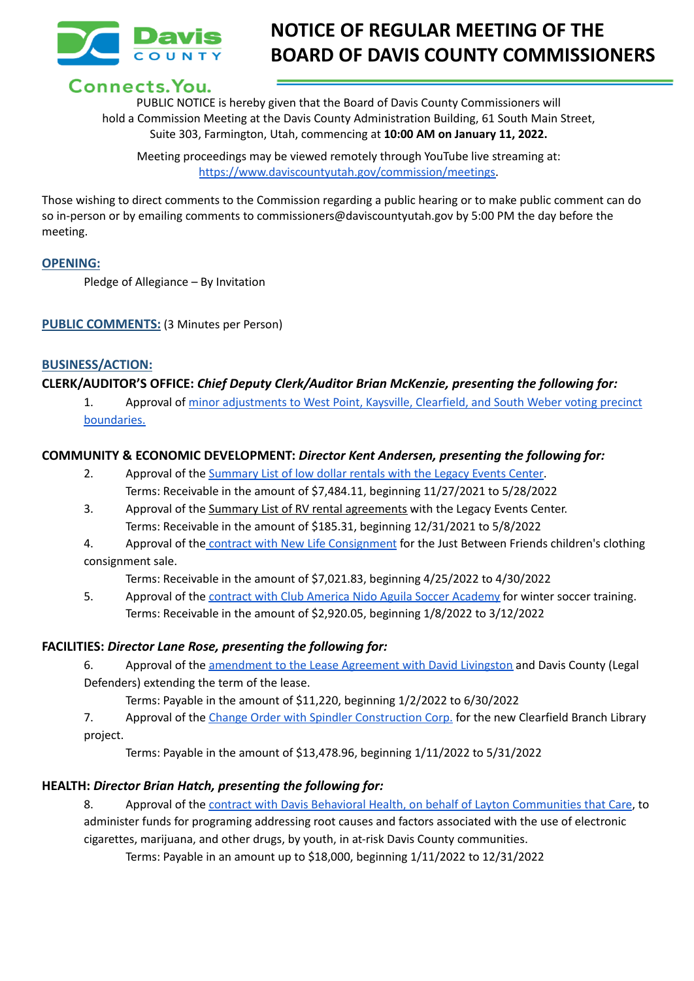

# **NOTICE OF REGULAR MEETING OF THE BOARD OF DAVIS COUNTY COMMISSIONERS**

# Connects. You.

PUBLIC NOTICE is hereby given that the Board of Davis County Commissioners will hold a Commission Meeting at the Davis County Administration Building, 61 South Main Street, Suite 303, Farmington, Utah, commencing at **10:00 AM on January 11, 2022.**

Meeting proceedings may be viewed remotely through YouTube live streaming at: [https://www.daviscountyutah.gov/commission/meetings.](https://www.daviscountyutah.gov/commission/meetings)

Those wishing to direct comments to the Commission regarding a public hearing or to make public comment can do so in-person or by emailing comments to commissioners@daviscountyutah.gov by 5:00 PM the day before the meeting.

#### **OPENING:**

Pledge of Allegiance – By Invitation

**PUBLIC COMMENTS:** (3 Minutes per Person)

#### **BUSINESS/ACTION:**

#### **CLERK/AUDITOR'S OFFICE:** *Chief Deputy Clerk/Auditor Brian McKenzie, presenting the following for:*

1. Approval of minor [adjustments](https://drive.google.com/file/d/1UldyQUc3iKghcO7DVcSlyVY6oy07Si1n/view?usp=sharing) to West Point, Kaysville, Clearfield, and South Weber voting precinct [boundaries.](https://drive.google.com/file/d/1UldyQUc3iKghcO7DVcSlyVY6oy07Si1n/view?usp=sharing)

#### **COMMUNITY & ECONOMIC DEVELOPMENT:** *Director Kent Andersen, presenting the following for:*

- 2. Approval of the [Summary](https://drive.google.com/file/d/1RAjNPZ0G8npfdmNVPcJOEF9p5lShNfTp/view?usp=sharing) List of low dollar rentals with the Legacy Events Center. Terms: Receivable in the amount of \$7,484.11, beginning 11/27/2021 to 5/28/2022
- 3. Approval of the Summary List of RV rental agreements with the Legacy Events Center. Terms: Receivable in the amount of \$185.31, beginning 12/31/2021 to 5/8/2022
- 4. Approval of the contract with New Life [Consignment](https://drive.google.com/file/d/1X2O9H8HE4M-qdd7HMTGudW7ZdKk2lJk7/view?usp=sharing) for the Just Between Friends children's clothing consignment sale.

Terms: Receivable in the amount of \$7,021.83, beginning 4/25/2022 to 4/30/2022

5. Approval of the contract with Club America Nido Aguila Soccer [Academy](https://drive.google.com/file/d/1B6cL3t0vNEd9do8PFLwFszwit8Uj6d7I/view?usp=sharing) for winter soccer training. Terms: Receivable in the amount of \$2,920.05, beginning 1/8/2022 to 3/12/2022

#### **FACILITIES:** *Director Lane Rose, presenting the following for:*

6. Approval of the [amendment](https://drive.google.com/file/d/1hdj8ieIknL_EzRP7qQ6ReFo-8tnGarzu/view?usp=sharing) to the Lease Agreement with David Livingston and Davis County (Legal Defenders) extending the term of the lease.

Terms: Payable in the amount of \$11,220, beginning 1/2/2022 to 6/30/2022

7. Approval of the Change Order with Spindler [Construction](https://drive.google.com/file/d/1KxkypO41Oqn32TW75wQtJjXcmBOQawYf/view?usp=sharing) Corp. for the new Clearfield Branch Library project.

Terms: Payable in the amount of \$13,478.96, beginning 1/11/2022 to 5/31/2022

# **HEALTH:** *Director Brian Hatch, presenting the following for:*

8. Approval of the contract with Davis Behavioral Health, on behalf of Layton [Communities](https://drive.google.com/file/d/1NU-Lw-t48hXXkYTUsB1aTwf7tlXul2_y/view?usp=sharing) that Care, to administer funds for programing addressing root causes and factors associated with the use of electronic cigarettes, marijuana, and other drugs, by youth, in at-risk Davis County communities.

Terms: Payable in an amount up to \$18,000, beginning 1/11/2022 to 12/31/2022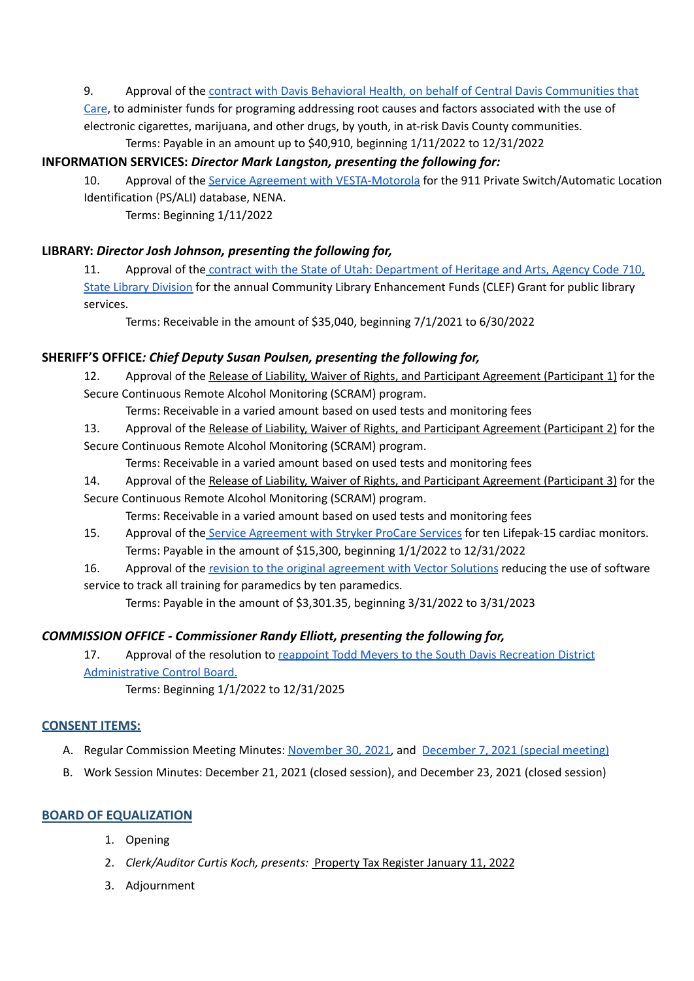#### 9. Approval of the contract with Davis Behavioral Health, on behalf of Central Davis [Communities](https://drive.google.com/file/d/1TMtlTgRl2mQY24vFzk4xFL_h9JQ549od/view?usp=sharing) that

[Care](https://drive.google.com/file/d/1TMtlTgRl2mQY24vFzk4xFL_h9JQ549od/view?usp=sharing), to administer funds for programing addressing root causes and factors associated with the use of electronic cigarettes, marijuana, and other drugs, by youth, in at-risk Davis County communities. Terms: Payable in an amount up to \$40,910, beginning 1/11/2022 to 12/31/2022

#### **INFORMATION SERVICES:** *Director Mark Langston, presenting the following for:*

10. Approval of the Service Agreement with [VESTA-Motorola](https://drive.google.com/file/d/1_NQ8FwDAWMjPDH1ApGszhTZTgF1lpOwB/view?usp=sharing) for the 911 Private Switch/Automatic Location Identification (PS/ALI) database, NENA.

Terms: Beginning 1/11/2022

#### **LIBRARY:** *Director Josh Johnson, presenting the following for,*

11. Approval of the contract with the State of Utah: [Department](https://drive.google.com/file/d/1GWvHHHsKfsFSqia3QW1ZEeqQZQ7pasoz/view?usp=sharing) of Heritage and Arts, Agency Code 710, State Library [Division](https://drive.google.com/file/d/1GWvHHHsKfsFSqia3QW1ZEeqQZQ7pasoz/view?usp=sharing) for the annual Community Library Enhancement Funds (CLEF) Grant for public library services.

Terms: Receivable in the amount of \$35,040, beginning 7/1/2021 to 6/30/2022

### **SHERIFF'S OFFICE***: Chief Deputy Susan Poulsen, presenting the following for,*

12. Approval of the Release of Liability, Waiver of Rights, and Participant Agreement (Participant 1) for the Secure Continuous Remote Alcohol Monitoring (SCRAM) program.

Terms: Receivable in a varied amount based on used tests and monitoring fees

- 13. Approval of the Release of Liability, Waiver of Rights, and Participant Agreement (Participant 2) for the
- Secure Continuous Remote Alcohol Monitoring (SCRAM) program.

Terms: Receivable in a varied amount based on used tests and monitoring fees

14. Approval of the Release of Liability, Waiver of Rights, and Participant Agreement (Participant 3) for the Secure Continuous Remote Alcohol Monitoring (SCRAM) program.

Terms: Receivable in a varied amount based on used tests and monitoring fees

- 15. Approval of the Service [Agreement](https://drive.google.com/file/d/1eyi3_8o-qgSAUPI-SHPXPG6qn7G9Dulx/view?usp=sharing) with Stryker ProCare Services for ten Lifepak-15 cardiac monitors. Terms: Payable in the amount of \$15,300, beginning 1/1/2022 to 12/31/2022
- 16. Approval of the revision to the original [agreement](https://drive.google.com/file/d/1npHNIAiNzYTXbXFF_1NlGO0HvIymOKI1/view?usp=sharing) with Vector Solutions reducing the use of software service to track all training for paramedics by ten paramedics.

Terms: Payable in the amount of \$3,301.35, beginning 3/31/2022 to 3/31/2023

# *COMMISSION OFFICE - Commissioner Randy Elliott, presenting the following for,*

17. Approval of the resolution to reappoint Todd Meyers to the South Davis [Recreation](https://drive.google.com/file/d/1EgkIyRasAYMR75qj7uIFs9YcvxJz4MIF/view?usp=sharing) District [Administrative](https://drive.google.com/file/d/1EgkIyRasAYMR75qj7uIFs9YcvxJz4MIF/view?usp=sharing) Control Board.

Terms: Beginning 1/1/2022 to 12/31/2025

#### **CONSENT ITEMS:**

- A. Regular Commission Meeting Minutes: [November](https://drive.google.com/file/d/16JX9GhctHwn7c-lgrMtmhR0WI8d8rtHk/view?usp=sharing) 30, 2021, and [December](https://drive.google.com/file/d/16KLygaKtQh7GDr22j7S8rqCF_J0JVxC_/view?usp=sharing) 7, 2021 (special meeting)
- B. Work Session Minutes: December 21, 2021 (closed session), and December 23, 2021 (closed session)

#### **BOARD OF EQUALIZATION**

- 1. Opening
- 2. *Clerk/Auditor Curtis Koch, presents:* Property Tax Register January 11, 2022
- 3. Adjournment